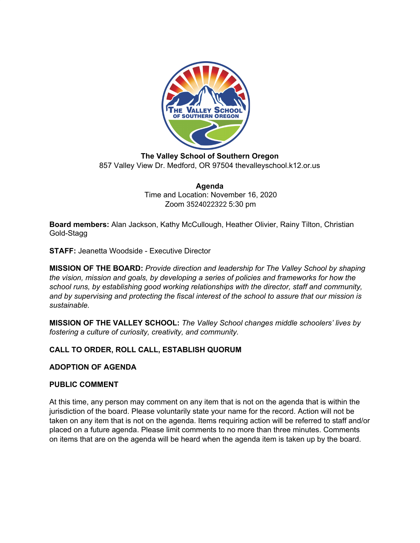

**The Valley School of Southern Oregon** 857 Valley View Dr. Medford, OR 97504 thevalleyschool.k12.or.us

> **Agenda** Time and Location: November 16, 2020 Zoom 3524022322 5:30 pm

**Board members:** Alan Jackson, Kathy McCullough, Heather Olivier, Rainy Tilton, Christian Gold-Stagg

**STAFF:** Jeanetta Woodside - Executive Director

**MISSION OF THE BOARD:** *Provide direction and leadership for The Valley School by shaping the vision, mission and goals, by developing a series of policies and frameworks for how the school runs, by establishing good working relationships with the director, staff and community, and by supervising and protecting the fiscal interest of the school to assure that our mission is sustainable.*

**MISSION OF THE VALLEY SCHOOL:** *The Valley School changes middle schoolers' lives by fostering a culture of curiosity, creativity, and community.*

# **CALL TO ORDER, ROLL CALL, ESTABLISH QUORUM**

## **ADOPTION OF AGENDA**

## **PUBLIC COMMENT**

At this time, any person may comment on any item that is not on the agenda that is within the jurisdiction of the board. Please voluntarily state your name for the record. Action will not be taken on any item that is not on the agenda. Items requiring action will be referred to staff and/or placed on a future agenda. Please limit comments to no more than three minutes. Comments on items that are on the agenda will be heard when the agenda item is taken up by the board.